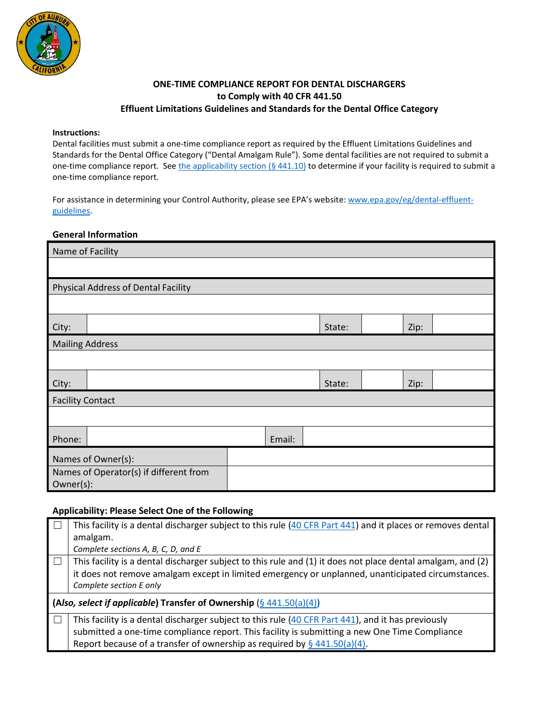

### **ONE-TIME COMPLIANCE REPORT FOR DENTAL DISCHARGERS to Comply with 40 CFR 441.50 Effluent Limitations Guidelines and Standards for the Dental Office Category**

#### **Instructions:**

Dental facilities must submit a one-time compliance report as required by the Effluent Limitations Guidelines and Standards for the Dental Office Category ("Dental Amalgam Rule"). Some dental facilities are not required to submit a one-time compliance report. Se[e the applicability section](https://www.federalregister.gov/d/2017-12338/p-264)  $(§ 441.10)$  to determine if your facility is required to submit a one-time compliance report.

For assistance in determining your Control Authority, please see EPA's website: [www.epa.gov/eg/dental-effluent](https://www.epa.gov/eg/dental-effluent-guidelines)[guidelines.](https://www.epa.gov/eg/dental-effluent-guidelines)

### **General Information**

| Name of Facility                       |                                            |  |  |        |      |  |
|----------------------------------------|--------------------------------------------|--|--|--------|------|--|
|                                        |                                            |  |  |        |      |  |
|                                        | <b>Physical Address of Dental Facility</b> |  |  |        |      |  |
|                                        |                                            |  |  |        |      |  |
| City:                                  |                                            |  |  | State: | Zip: |  |
| <b>Mailing Address</b>                 |                                            |  |  |        |      |  |
|                                        |                                            |  |  |        |      |  |
| City:                                  |                                            |  |  | State: | Zip: |  |
| <b>Facility Contact</b>                |                                            |  |  |        |      |  |
|                                        |                                            |  |  |        |      |  |
| Phone:                                 | Email:                                     |  |  |        |      |  |
| Names of Owner(s):                     |                                            |  |  |        |      |  |
| Names of Operator(s) if different from |                                            |  |  |        |      |  |
| Owner(s):                              |                                            |  |  |        |      |  |

### **Applicability: Please Select One of the Following**

| This facility is a dental discharger subject to this rule (40 CFR Part 441) and it places or removes dental                                                                                                      |
|------------------------------------------------------------------------------------------------------------------------------------------------------------------------------------------------------------------|
| amalgam.                                                                                                                                                                                                         |
| Complete sections A, B, C, D, and E                                                                                                                                                                              |
| This facility is a dental discharger subject to this rule and (1) it does not place dental amalgam, and (2)<br>it does not remove amalgam except in limited emergency or unplanned, unanticipated circumstances. |
| Complete section E only                                                                                                                                                                                          |
| (Also, select if applicable) Transfer of Ownership $(\frac{6}{9}441.50(a)(4))$                                                                                                                                   |
| This facility is a dental discharger subject to this rule (40 CFR Part 441), and it has previously                                                                                                               |
| submitted a one-time compliance report. This facility is submitting a new One Time Compliance                                                                                                                    |
| Report because of a transfer of ownership as required by $\S$ 441.50(a)(4).                                                                                                                                      |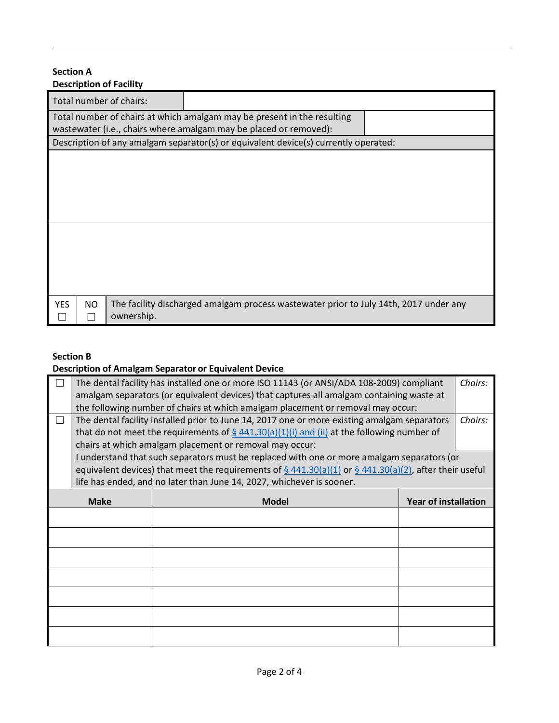### **Section A Description of Facility**

| Total number of chairs:<br>Total number of chairs at which amalgam may be present in the resulting<br>wastewater (i.e., chairs where amalgam may be placed or removed):<br>Description of any amalgam separator(s) or equivalent device(s) currently operated:<br>The facility discharged amalgam process wastewater prior to July 14th, 2017 under any<br><b>YES</b><br>NO<br>ownership. | PCJUTPUUT VI TUUMIY |  |  |  |  |  |  |
|-------------------------------------------------------------------------------------------------------------------------------------------------------------------------------------------------------------------------------------------------------------------------------------------------------------------------------------------------------------------------------------------|---------------------|--|--|--|--|--|--|
|                                                                                                                                                                                                                                                                                                                                                                                           |                     |  |  |  |  |  |  |
|                                                                                                                                                                                                                                                                                                                                                                                           |                     |  |  |  |  |  |  |
|                                                                                                                                                                                                                                                                                                                                                                                           |                     |  |  |  |  |  |  |
|                                                                                                                                                                                                                                                                                                                                                                                           |                     |  |  |  |  |  |  |
|                                                                                                                                                                                                                                                                                                                                                                                           |                     |  |  |  |  |  |  |
|                                                                                                                                                                                                                                                                                                                                                                                           |                     |  |  |  |  |  |  |
|                                                                                                                                                                                                                                                                                                                                                                                           |                     |  |  |  |  |  |  |
|                                                                                                                                                                                                                                                                                                                                                                                           |                     |  |  |  |  |  |  |
|                                                                                                                                                                                                                                                                                                                                                                                           |                     |  |  |  |  |  |  |
|                                                                                                                                                                                                                                                                                                                                                                                           |                     |  |  |  |  |  |  |
|                                                                                                                                                                                                                                                                                                                                                                                           |                     |  |  |  |  |  |  |
|                                                                                                                                                                                                                                                                                                                                                                                           |                     |  |  |  |  |  |  |
|                                                                                                                                                                                                                                                                                                                                                                                           |                     |  |  |  |  |  |  |
|                                                                                                                                                                                                                                                                                                                                                                                           |                     |  |  |  |  |  |  |
|                                                                                                                                                                                                                                                                                                                                                                                           |                     |  |  |  |  |  |  |
|                                                                                                                                                                                                                                                                                                                                                                                           |                     |  |  |  |  |  |  |
|                                                                                                                                                                                                                                                                                                                                                                                           |                     |  |  |  |  |  |  |
|                                                                                                                                                                                                                                                                                                                                                                                           |                     |  |  |  |  |  |  |

# **Section B**

# **Description of Amalgam Separator or Equivalent Device**

|         | The dental facility has installed one or more ISO 11143 (or ANSI/ADA 108-2009) compliant<br>Chairs: |                                                                                                              |  |         |  |
|---------|-----------------------------------------------------------------------------------------------------|--------------------------------------------------------------------------------------------------------------|--|---------|--|
|         | amalgam separators (or equivalent devices) that captures all amalgam containing waste at            |                                                                                                              |  |         |  |
|         |                                                                                                     | the following number of chairs at which amalgam placement or removal may occur:                              |  |         |  |
| $\perp$ |                                                                                                     | The dental facility installed prior to June 14, 2017 one or more existing amalgam separators                 |  | Chairs: |  |
|         |                                                                                                     | that do not meet the requirements of $\S$ 441.30(a)(1)(i) and (ii) at the following number of                |  |         |  |
|         |                                                                                                     | chairs at which amalgam placement or removal may occur:                                                      |  |         |  |
|         |                                                                                                     | I understand that such separators must be replaced with one or more amalgam separators (or                   |  |         |  |
|         |                                                                                                     | equivalent devices) that meet the requirements of $\S$ 441.30(a)(1) or $\S$ 441.30(a)(2), after their useful |  |         |  |
|         |                                                                                                     | life has ended, and no later than June 14, 2027, whichever is sooner.                                        |  |         |  |
|         | <b>Make</b><br><b>Model</b><br><b>Year of installation</b>                                          |                                                                                                              |  |         |  |
|         |                                                                                                     |                                                                                                              |  |         |  |
|         |                                                                                                     |                                                                                                              |  |         |  |
|         |                                                                                                     |                                                                                                              |  |         |  |
|         |                                                                                                     |                                                                                                              |  |         |  |
|         |                                                                                                     |                                                                                                              |  |         |  |
|         |                                                                                                     |                                                                                                              |  |         |  |
|         |                                                                                                     |                                                                                                              |  |         |  |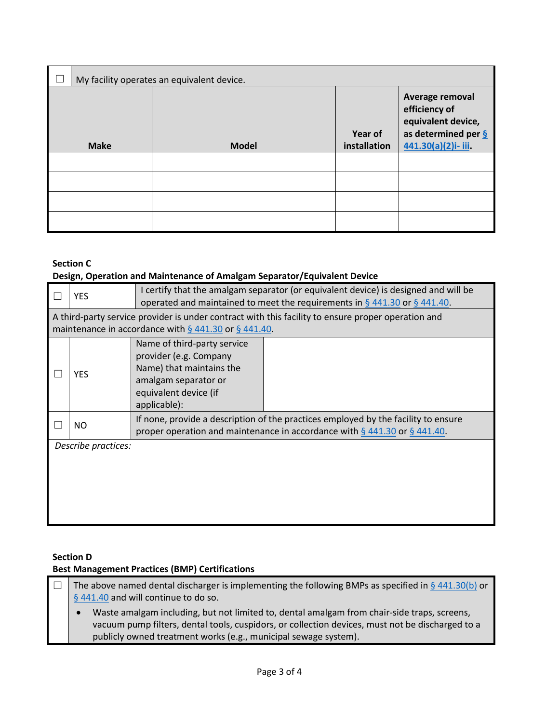| My facility operates an equivalent device. |              |                         |                                                                                                                 |  |
|--------------------------------------------|--------------|-------------------------|-----------------------------------------------------------------------------------------------------------------|--|
| <b>Make</b>                                | <b>Model</b> | Year of<br>installation | Average removal<br>efficiency of<br>equivalent device,<br>as determined per $\frac{6}{5}$<br>441.30(a)(2)i-iii. |  |
|                                            |              |                         |                                                                                                                 |  |
|                                            |              |                         |                                                                                                                 |  |
|                                            |              |                         |                                                                                                                 |  |
|                                            |              |                         |                                                                                                                 |  |

# **Section C**

# **Design, Operation and Maintenance of Amalgam Separator/Equivalent Device**

|                     | <b>YES</b>                                                                                                                                                       | I certify that the amalgam separator (or equivalent device) is designed and will be<br>operated and maintained to meet the requirements in $\S$ 441.30 or $\S$ 441.40. |  |  |  |  |
|---------------------|------------------------------------------------------------------------------------------------------------------------------------------------------------------|------------------------------------------------------------------------------------------------------------------------------------------------------------------------|--|--|--|--|
|                     | A third-party service provider is under contract with this facility to ensure proper operation and<br>maintenance in accordance with $\S$ 441.30 or $\S$ 441.40. |                                                                                                                                                                        |  |  |  |  |
|                     | <b>YES</b>                                                                                                                                                       | Name of third-party service<br>provider (e.g. Company<br>Name) that maintains the<br>amalgam separator or<br>equivalent device (if<br>applicable):                     |  |  |  |  |
|                     | NO.                                                                                                                                                              | If none, provide a description of the practices employed by the facility to ensure<br>proper operation and maintenance in accordance with $\S$ 441.30 or $\S$ 441.40.  |  |  |  |  |
| Describe practices: |                                                                                                                                                                  |                                                                                                                                                                        |  |  |  |  |
|                     |                                                                                                                                                                  |                                                                                                                                                                        |  |  |  |  |
|                     |                                                                                                                                                                  |                                                                                                                                                                        |  |  |  |  |

## **Section D**

# **Best Management Practices (BMP) Certifications**

| $\mathsf{I}\ \Box$ | The above named dental discharger is implementing the following BMPs as specified in $\S$ 441.30(b) or |  |  |  |  |
|--------------------|--------------------------------------------------------------------------------------------------------|--|--|--|--|
|                    | § 441.40 and will continue to do so.                                                                   |  |  |  |  |
|                    | Waste amalgam including, but not limited to, dental amalgam from chair-side traps, screens,            |  |  |  |  |
|                    | vacuum pump filters, dental tools, cuspidors, or collection devices, must not be discharged to a       |  |  |  |  |
|                    | publicly owned treatment works (e.g., municipal sewage system).                                        |  |  |  |  |